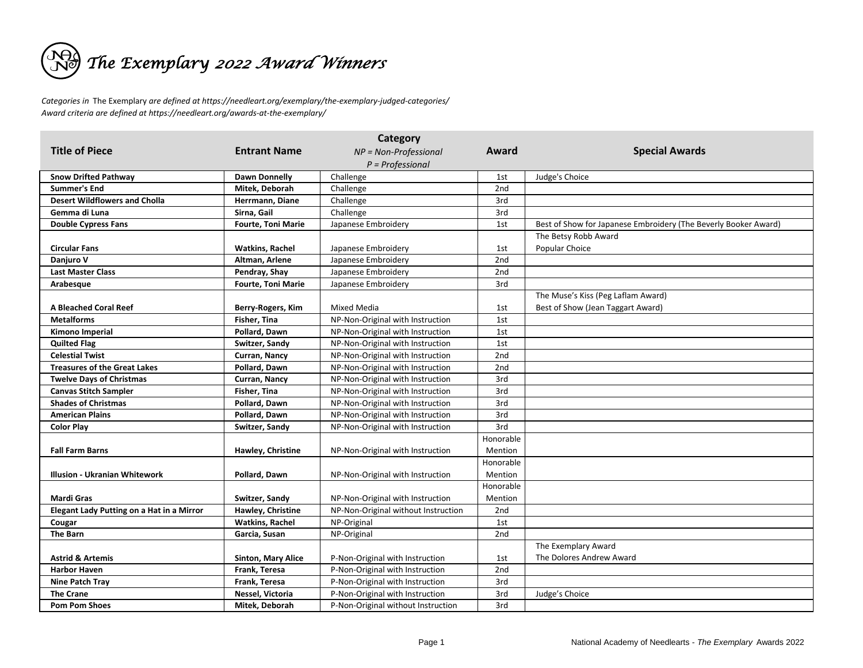

*Categories in* The Exemplary *are defined at https://needleart.org/exemplary/the-exemplary-judged-categories/ Award criteria are defined at https://needleart.org/awards-at-the-exemplary/*

| Category                                  |                           |                                     |           |                                                                 |  |  |  |
|-------------------------------------------|---------------------------|-------------------------------------|-----------|-----------------------------------------------------------------|--|--|--|
| <b>Title of Piece</b>                     | <b>Entrant Name</b>       | NP = Non-Professional               | Award     | <b>Special Awards</b>                                           |  |  |  |
|                                           |                           | $P = Professional$                  |           |                                                                 |  |  |  |
| <b>Snow Drifted Pathway</b>               | <b>Dawn Donnelly</b>      | Challenge                           | 1st       | Judge's Choice                                                  |  |  |  |
| Summer's End                              | Mitek, Deborah            | Challenge                           | 2nd       |                                                                 |  |  |  |
| <b>Desert Wildflowers and Cholla</b>      | Herrmann, Diane           | Challenge                           | 3rd       |                                                                 |  |  |  |
| Gemma di Luna                             | Sirna, Gail               | Challenge                           | 3rd       |                                                                 |  |  |  |
| <b>Double Cypress Fans</b>                | <b>Fourte, Toni Marie</b> | Japanese Embroidery                 | 1st       | Best of Show for Japanese Embroidery (The Beverly Booker Award) |  |  |  |
|                                           |                           |                                     |           | The Betsy Robb Award                                            |  |  |  |
| <b>Circular Fans</b>                      | <b>Watkins, Rachel</b>    | Japanese Embroidery                 | 1st       | Popular Choice                                                  |  |  |  |
| <b>Daniuro V</b>                          | Altman, Arlene            | Japanese Embroidery                 | 2nd       |                                                                 |  |  |  |
| <b>Last Master Class</b>                  | Pendray, Shay             | Japanese Embroidery                 | 2nd       |                                                                 |  |  |  |
| Arabesque                                 | <b>Fourte, Toni Marie</b> | Japanese Embroidery                 | 3rd       |                                                                 |  |  |  |
|                                           |                           |                                     |           | The Muse's Kiss (Peg Laflam Award)                              |  |  |  |
| <b>A Bleached Coral Reef</b>              | Berry-Rogers, Kim         | Mixed Media                         | 1st       | Best of Show (Jean Taggart Award)                               |  |  |  |
| <b>Metalforms</b>                         | Fisher, Tina              | NP-Non-Original with Instruction    | 1st       |                                                                 |  |  |  |
| Kimono Imperial                           | Pollard, Dawn             | NP-Non-Original with Instruction    | 1st       |                                                                 |  |  |  |
| <b>Quilted Flag</b>                       | Switzer, Sandy            | NP-Non-Original with Instruction    | 1st       |                                                                 |  |  |  |
| <b>Celestial Twist</b>                    | Curran, Nancy             | NP-Non-Original with Instruction    | 2nd       |                                                                 |  |  |  |
| <b>Treasures of the Great Lakes</b>       | Pollard, Dawn             | NP-Non-Original with Instruction    | 2nd       |                                                                 |  |  |  |
| <b>Twelve Days of Christmas</b>           | Curran, Nancy             | NP-Non-Original with Instruction    | 3rd       |                                                                 |  |  |  |
| <b>Canvas Stitch Sampler</b>              | Fisher, Tina              | NP-Non-Original with Instruction    | 3rd       |                                                                 |  |  |  |
| <b>Shades of Christmas</b>                | Pollard, Dawn             | NP-Non-Original with Instruction    | 3rd       |                                                                 |  |  |  |
| <b>American Plains</b>                    | Pollard, Dawn             | NP-Non-Original with Instruction    | 3rd       |                                                                 |  |  |  |
| <b>Color Play</b>                         | Switzer, Sandy            | NP-Non-Original with Instruction    | 3rd       |                                                                 |  |  |  |
|                                           |                           |                                     | Honorable |                                                                 |  |  |  |
| <b>Fall Farm Barns</b>                    | Hawley, Christine         | NP-Non-Original with Instruction    | Mention   |                                                                 |  |  |  |
|                                           |                           |                                     | Honorable |                                                                 |  |  |  |
| <b>Illusion - Ukranian Whitework</b>      | Pollard, Dawn             | NP-Non-Original with Instruction    | Mention   |                                                                 |  |  |  |
|                                           |                           |                                     | Honorable |                                                                 |  |  |  |
| <b>Mardi Gras</b>                         | Switzer, Sandy            | NP-Non-Original with Instruction    | Mention   |                                                                 |  |  |  |
| Elegant Lady Putting on a Hat in a Mirror | Hawley, Christine         | NP-Non-Original without Instruction | 2nd       |                                                                 |  |  |  |
| Cougar                                    | <b>Watkins, Rachel</b>    | NP-Original                         | 1st       |                                                                 |  |  |  |
| The Barn                                  | Garcia, Susan             | NP-Original                         | 2nd       |                                                                 |  |  |  |
|                                           |                           |                                     |           | The Exemplary Award                                             |  |  |  |
| <b>Astrid &amp; Artemis</b>               | <b>Sinton, Mary Alice</b> | P-Non-Original with Instruction     | 1st       | The Dolores Andrew Award                                        |  |  |  |
| <b>Harbor Haven</b>                       | Frank, Teresa             | P-Non-Original with Instruction     | 2nd       |                                                                 |  |  |  |
| <b>Nine Patch Tray</b>                    | Frank, Teresa             | P-Non-Original with Instruction     | 3rd       |                                                                 |  |  |  |
| <b>The Crane</b>                          | Nessel, Victoria          | P-Non-Original with Instruction     | 3rd       | Judge's Choice                                                  |  |  |  |
| <b>Pom Pom Shoes</b>                      | Mitek, Deborah            | P-Non-Original without Instruction  | 3rd       |                                                                 |  |  |  |